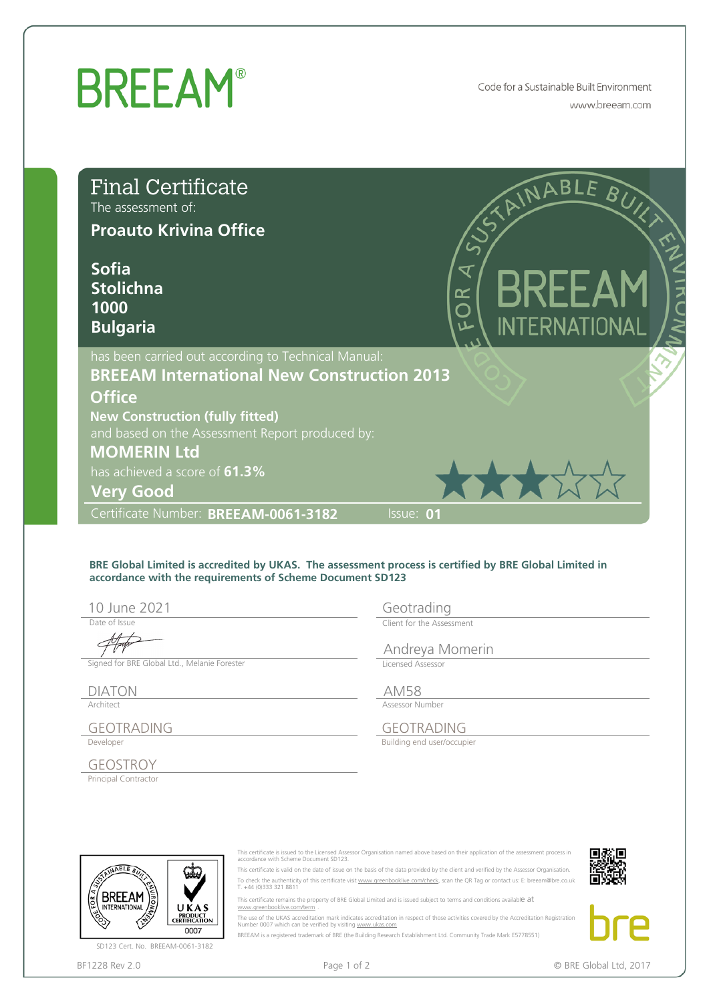## **BREEAM®**

Code for a Sustainable Built Environment www.breeam.com

| <b>Final Certificate</b><br>The assessment of:<br><b>Proauto Krivina Office</b>                                                    |                                                                                                                                                              | STAINABLE BUNG                                                                                                                                                                                                                                                                                                                                                                                                                                                                                                                                                                                                                                                                                                                                                                                                    |
|------------------------------------------------------------------------------------------------------------------------------------|--------------------------------------------------------------------------------------------------------------------------------------------------------------|-------------------------------------------------------------------------------------------------------------------------------------------------------------------------------------------------------------------------------------------------------------------------------------------------------------------------------------------------------------------------------------------------------------------------------------------------------------------------------------------------------------------------------------------------------------------------------------------------------------------------------------------------------------------------------------------------------------------------------------------------------------------------------------------------------------------|
| <b>Sofia</b><br><b>Stolichna</b><br>1000<br><b>Bulgaria</b>                                                                        |                                                                                                                                                              | <b>BREEAM</b><br>8<br>OR<br><b>INTERNATIONAL</b>                                                                                                                                                                                                                                                                                                                                                                                                                                                                                                                                                                                                                                                                                                                                                                  |
| <b>Office</b><br><b>New Construction (fully fitted)</b><br><b>MOMERIN Ltd</b><br>has achieved a score of 61.3%<br><b>Very Good</b> | has been carried out according to Technical Manual:<br><b>BREEAM International New Construction 2013</b><br>and based on the Assessment Report produced by:  | 大大大公                                                                                                                                                                                                                                                                                                                                                                                                                                                                                                                                                                                                                                                                                                                                                                                                              |
| Certificate Number: BREEAM-0061-3182                                                                                               |                                                                                                                                                              | Issue: 01                                                                                                                                                                                                                                                                                                                                                                                                                                                                                                                                                                                                                                                                                                                                                                                                         |
| 10 June 2021<br>Date of Issue                                                                                                      | accordance with the requirements of Scheme Document SD123                                                                                                    | BRE Global Limited is accredited by UKAS. The assessment process is certified by BRE Global Limited in<br>Geotrading<br>Client for the Assessment                                                                                                                                                                                                                                                                                                                                                                                                                                                                                                                                                                                                                                                                 |
| Signed for BRE Global Ltd., Melanie Forester                                                                                       |                                                                                                                                                              | Andreya Momerin<br>Licensed Assessor                                                                                                                                                                                                                                                                                                                                                                                                                                                                                                                                                                                                                                                                                                                                                                              |
| <b>DIATON</b><br>Architect<br><b>GEOTRADING</b>                                                                                    |                                                                                                                                                              | <b>AM58</b><br>Assessor Number<br><b>GEOTRADING</b>                                                                                                                                                                                                                                                                                                                                                                                                                                                                                                                                                                                                                                                                                                                                                               |
| Developer<br><b>GEOSTROY</b>                                                                                                       |                                                                                                                                                              | Building end user/occupier                                                                                                                                                                                                                                                                                                                                                                                                                                                                                                                                                                                                                                                                                                                                                                                        |
| Principal Contractor                                                                                                               |                                                                                                                                                              |                                                                                                                                                                                                                                                                                                                                                                                                                                                                                                                                                                                                                                                                                                                                                                                                                   |
| NABLE A<br>BKEEAM<br><b>INTERNATIONAL</b><br>UKAS<br>PRODUCT<br>CERTIFICATION<br>0007<br>SD123 Cert. No. BREEAM-0061-3182          | accordance with Scheme Document SD123.<br>T. +44 (0)333 321 8811<br>www.areenbooklive.com/term<br>Number 0007 which can be verified by visiting www.ukas.com | This certificate is issued to the Licensed Assessor Organisation named above based on their application of the assessment process in<br>This certificate is valid on the date of issue on the basis of the data provided by the client and verified by the Assessor Organisation.<br>To check the authenticity of this certificate visit www.greenbooklive.com/check, scan the QR Tag or contact us: E: breeam@bre.co.uk<br>This certificate remains the property of BRE Global Limited and is issued subject to terms and conditions available at<br>The use of the UKAS accreditation mark indicates accreditation in respect of those activities covered by the Accreditation Registration<br>BREEAM is a registered trademark of BRE (the Building Research Establishment Ltd. Community Trade Mark E5778551) |
| BF1228 Rev 2.0                                                                                                                     | Page 1 of 2                                                                                                                                                  | © BRE Global Ltd, 2017                                                                                                                                                                                                                                                                                                                                                                                                                                                                                                                                                                                                                                                                                                                                                                                            |

## **BRE Global Limited is accredited by UKAS. The assessment process is certified by BRE Global Limited in accordance with the requirements of Scheme Document SD123**

Date of Issue